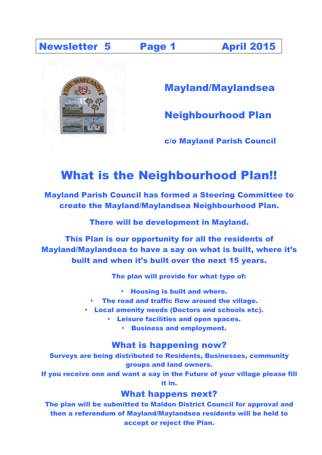### Newsletter 5 Page 1 April 2015



Mayland/Maylandsea

Neighbourhood Plan

c/o Mayland Parish Council

# What is the Neighbourhood Plan!!

Mayland Parish Council has formed a Steering Committee to create the Mayland/Maylandsea Neighbourhood Plan.

There will be development in Mayland.

This Plan is our opportunity for all the residents of Mayland/Maylandsea to have a say on what is built, where it's built and when it's built over the next 15 years.

The plan will provide for what type of:

- Housing is built and where.
- The road and traffic flow around the village.
- Local amenity needs (Doctors and schools etc).
	- Leisure facilities and open spaces.
		- Business and employment.

### What is happening now?

Surveys are being distributed to Residents, Businesses, community groups and land owners.

If you receive one and want a say in the Future of your village please fill it in.

### What happens next?

The plan will be submitted to Maldon District Council for approval and then a referendum of Mayland/Maylandsea residents will be held to accept or reject the Plan.